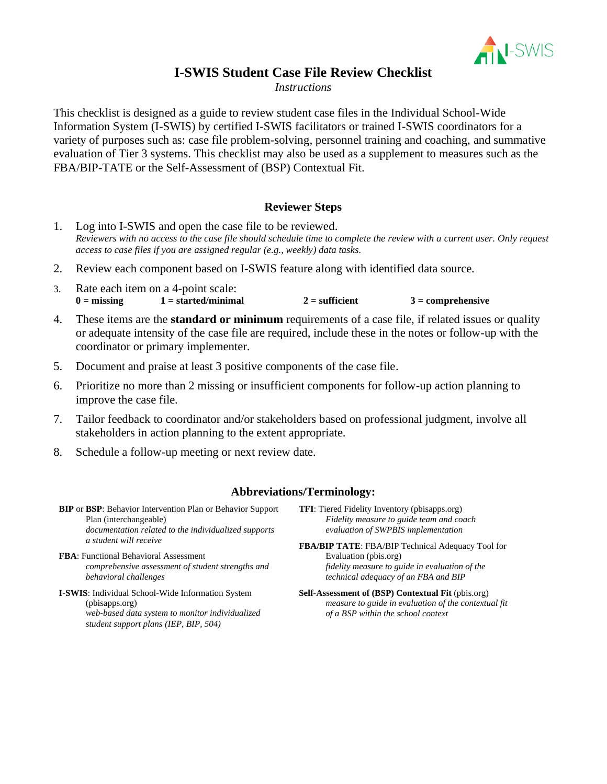

## **I-SWIS Student Case File Review Checklist**

*Instructions*

This checklist is designed as a guide to review student case files in the Individual School-Wide Information System (I-SWIS) by certified I-SWIS facilitators or trained I-SWIS coordinators for a variety of purposes such as: case file problem-solving, personnel training and coaching, and summative evaluation of Tier 3 systems. This checklist may also be used as a supplement to measures such as the FBA/BIP-TATE or the Self-Assessment of (BSP) Contextual Fit.

#### **Reviewer Steps**

- 1. Log into I-SWIS and open the case file to be reviewed. *Reviewers with no access to the case file should schedule time to complete the review with a current user. Only request access to case files if you are assigned regular (e.g., weekly) data tasks.*
- 2. Review each component based on I-SWIS feature along with identified data source.
- 3. Rate each item on a 4-point scale:  $0 = \text{missing}$   $1 = \text{stracted/minimal}$   $2 = \text{sufficient}$   $3 = \text{compression}$
- 4. These items are the **standard or minimum** requirements of a case file, if related issues or quality or adequate intensity of the case file are required, include these in the notes or follow-up with the coordinator or primary implementer.
- 5. Document and praise at least 3 positive components of the case file.
- 6. Prioritize no more than 2 missing or insufficient components for follow-up action planning to improve the case file.
- 7. Tailor feedback to coordinator and/or stakeholders based on professional judgment, involve all stakeholders in action planning to the extent appropriate.
- 8. Schedule a follow-up meeting or next review date.

#### **Abbreviations/Terminology:**

- **BIP** or **BSP**: Behavior Intervention Plan or Behavior Support Plan (interchangeable) *documentation related to the individualized supports a student will receive*
- **FBA**: Functional Behavioral Assessment *comprehensive assessment of student strengths and behavioral challenges*
- **I-SWIS**: Individual School-Wide Information System (pbisapps.org) *web-based data system to monitor individualized student support plans (IEP, BIP, 504)*
- **TFI**: Tiered Fidelity Inventory (pbisapps.org) *Fidelity measure to guide team and coach evaluation of SWPBIS implementation*
- **FBA/BIP TATE**: FBA/BIP Technical Adequacy Tool for Evaluation (pbis.org) *fidelity measure to guide in evaluation of the technical adequacy of an FBA and BIP*
- **Self-Assessment of (BSP) Contextual Fit** (pbis.org) *measure to guide in evaluation of the contextual fit of a BSP within the school context*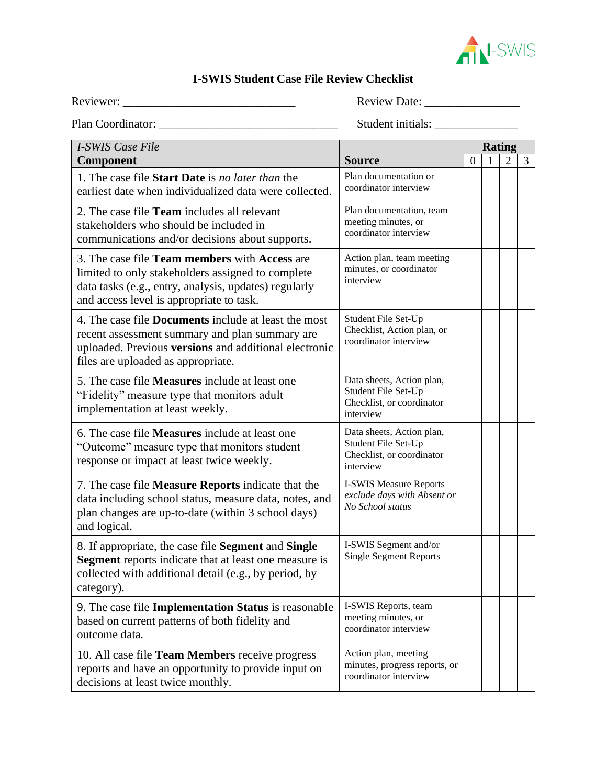

# **I-SWIS Student Case File Review Checklist**

Reviewer: \_\_\_\_\_\_\_\_\_\_\_\_\_\_\_\_\_\_\_\_\_\_\_\_\_\_\_\_\_ Review Date: \_\_\_\_\_\_\_\_\_\_\_\_\_\_\_\_

Plan Coordinator: \_\_\_\_\_\_\_\_\_\_\_\_\_\_\_\_\_\_\_\_\_\_\_\_\_\_\_\_\_\_ Student initials: \_\_\_\_\_\_\_\_\_\_\_\_\_\_

| <b>I-SWIS Case File</b>                                                                                                                                                                                                                                                       |                                                                                            |  | <b>Rating</b> |                |   |
|-------------------------------------------------------------------------------------------------------------------------------------------------------------------------------------------------------------------------------------------------------------------------------|--------------------------------------------------------------------------------------------|--|---------------|----------------|---|
| Component                                                                                                                                                                                                                                                                     | <b>Source</b>                                                                              |  |               | $\overline{2}$ | 3 |
| 1. The case file <b>Start Date</b> is no later than the<br>earliest date when individualized data were collected.                                                                                                                                                             | Plan documentation or<br>coordinator interview                                             |  |               |                |   |
| 2. The case file <b>Team</b> includes all relevant<br>stakeholders who should be included in<br>communications and/or decisions about supports.                                                                                                                               | Plan documentation, team<br>meeting minutes, or<br>coordinator interview                   |  |               |                |   |
| 3. The case file <b>Team members</b> with <b>Access</b> are<br>limited to only stakeholders assigned to complete<br>data tasks (e.g., entry, analysis, updates) regularly<br>and access level is appropriate to task.                                                         | Action plan, team meeting<br>minutes, or coordinator<br>interview                          |  |               |                |   |
| 4. The case file <b>Documents</b> include at least the most<br>recent assessment summary and plan summary are<br>uploaded. Previous versions and additional electronic<br>files are uploaded as appropriate.                                                                  | Student File Set-Up<br>Checklist, Action plan, or<br>coordinator interview                 |  |               |                |   |
| 5. The case file <b>Measures</b> include at least one<br>"Fidelity" measure type that monitors adult<br>implementation at least weekly.                                                                                                                                       | Data sheets, Action plan,<br>Student File Set-Up<br>Checklist, or coordinator<br>interview |  |               |                |   |
| 6. The case file <b>Measures</b> include at least one<br>"Outcome" measure type that monitors student<br>response or impact at least twice weekly.                                                                                                                            | Data sheets, Action plan,<br>Student File Set-Up<br>Checklist, or coordinator<br>interview |  |               |                |   |
| <b>I-SWIS Measure Reports</b><br>7. The case file <b>Measure Reports</b> indicate that the<br>exclude days with Absent or<br>data including school status, measure data, notes, and<br>No School status<br>plan changes are up-to-date (within 3 school days)<br>and logical. |                                                                                            |  |               |                |   |
| I-SWIS Segment and/or<br>8. If appropriate, the case file Segment and Single<br><b>Single Segment Reports</b><br><b>Segment</b> reports indicate that at least one measure is<br>collected with additional detail (e.g., by period, by<br>category).                          |                                                                                            |  |               |                |   |
| 9. The case file <b>Implementation Status</b> is reasonable<br>based on current patterns of both fidelity and<br>outcome data.                                                                                                                                                | I-SWIS Reports, team<br>meeting minutes, or<br>coordinator interview                       |  |               |                |   |
| 10. All case file Team Members receive progress<br>reports and have an opportunity to provide input on<br>decisions at least twice monthly.                                                                                                                                   | Action plan, meeting<br>minutes, progress reports, or<br>coordinator interview             |  |               |                |   |